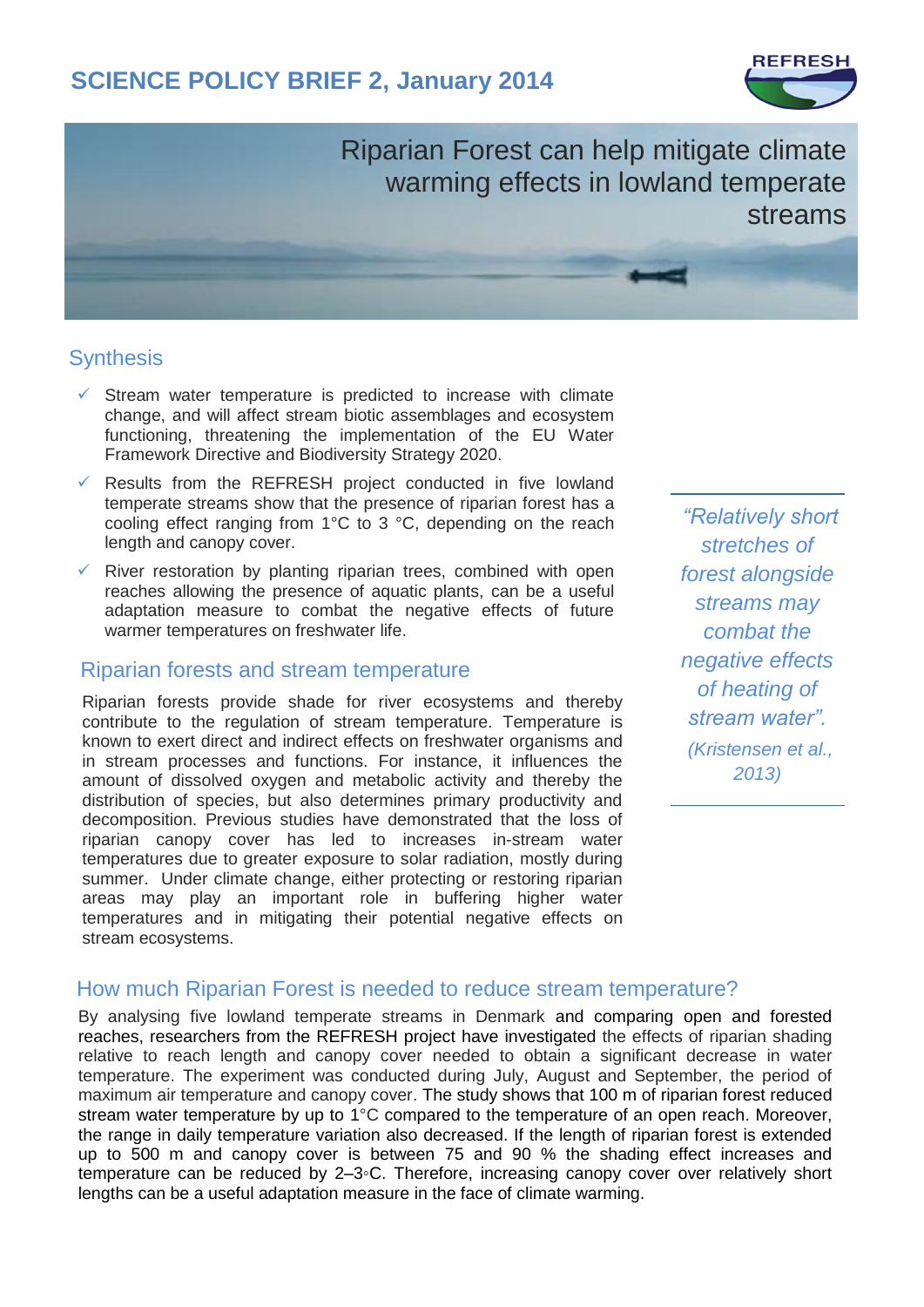## **SCIENCE POLICY BRIEF 2, January 2014**



Riparian Forest can help mitigate climate warming effects in lowland temperate streams

### **Synthesis**

- $\checkmark$  Stream water temperature is predicted to increase with climate change, and will affect stream biotic assemblages and ecosystem functioning, threatening the implementation of the EU Water Framework Directive and Biodiversity Strategy 2020.
- $\checkmark$  Results from the REFRESH project conducted in five lowland temperate streams show that the presence of riparian forest has a cooling effect ranging from 1°C to 3 °C, depending on the reach length and canopy cover.
- $\checkmark$  River restoration by planting riparian trees, combined with open reaches allowing the presence of aquatic plants, can be a useful adaptation measure to combat the negative effects of future warmer temperatures on freshwater life.

# Riparian forests and stream temperature

Riparian forests provide shade for river ecosystems and thereby contribute to the regulation of stream temperature. Temperature is known to exert direct and indirect effects on freshwater organisms and in stream processes and functions. For instance, it influences the amount of dissolved oxygen and metabolic activity and thereby the distribution of species, but also determines primary productivity and decomposition. Previous studies have demonstrated that the loss of riparian canopy cover has led to increases in-stream water temperatures due to greater exposure to solar radiation, mostly during summer. Under climate change, either protecting or restoring riparian areas may play an important role in buffering higher water temperatures and in mitigating their potential negative effects on stream ecosystems.

*"Relatively short stretches of forest alongside streams may combat the negative effects of heating of stream water". (Kristensen et al., 2013)*

#### How much Riparian Forest is needed to reduce stream temperature?

By analysing five lowland temperate streams in Denmark and comparing open and forested reaches, researchers from the REFRESH project have investigated the effects of riparian shading relative to reach length and canopy cover needed to obtain a significant decrease in water temperature. The experiment was conducted during July, August and September, the period of maximum air temperature and canopy cover. The study shows that 100 m of riparian forest reduced stream water temperature by up to 1°C compared to the temperature of an open reach. Moreover, the range in daily temperature variation also decreased. If the length of riparian forest is extended up to 500 m and canopy cover is between 75 and 90 % the shading effect increases and temperature can be reduced by 2–3◦C. Therefore, increasing canopy cover over relatively short lengths can be a useful adaptation measure in the face of climate warming.